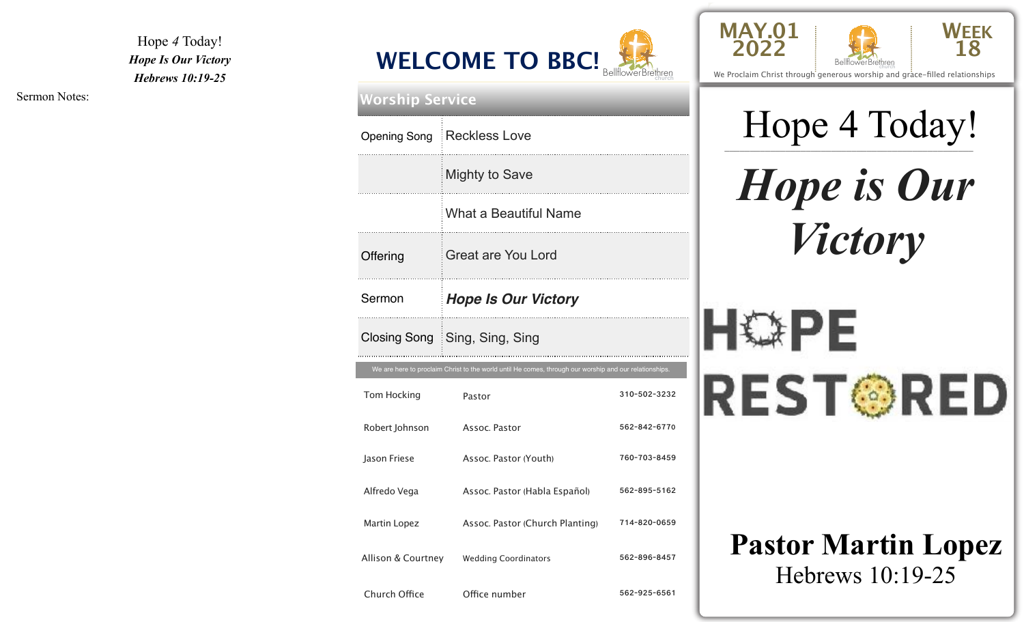Hope *4* Today! *Hope Is Our Victory Hebrews 10:19-25*



| <b>Worship Service</b> |                                                                                                        |              |  |  |
|------------------------|--------------------------------------------------------------------------------------------------------|--------------|--|--|
|                        | Opening Song Reckless Love                                                                             |              |  |  |
|                        | <b>Mighty to Save</b>                                                                                  |              |  |  |
|                        | <b>What a Beautiful Name</b>                                                                           |              |  |  |
| Offering               | Great are You Lord                                                                                     |              |  |  |
| Sermon                 | <b>Hope Is Our Victory</b>                                                                             |              |  |  |
|                        | Closing Song Sing, Sing, Sing                                                                          |              |  |  |
|                        | We are here to proclaim Christ to the world until He comes, through our worship and our relationships. |              |  |  |
| Tom Hocking            | Pastor                                                                                                 | 310-502-3232 |  |  |
| Robert Johnson         | Assoc. Pastor                                                                                          | 562-842-6770 |  |  |
| Jason Friese           | Assoc. Pastor (Youth)                                                                                  | 760-703-8459 |  |  |
| Alfredo Vega           | Assoc. Pastor (Habla Español)                                                                          | 562-895-5162 |  |  |
| Martin Lopez           | Assoc. Pastor (Church Planting)                                                                        | 714-820-0659 |  |  |
| Allison & Courtney     | <b>Wedding Coordinators</b>                                                                            | 562-896-8457 |  |  |
| Church Office          | Office number                                                                                          | 562-925-6561 |  |  |





We Proclaim Christ through generous worship and grace-filled relationships

## Hope 4 Today!

*Hope is Our Victory*

# HOPE **REST®RED**

## **Pastor Martin Lopez**  Hebrews 10:19-25